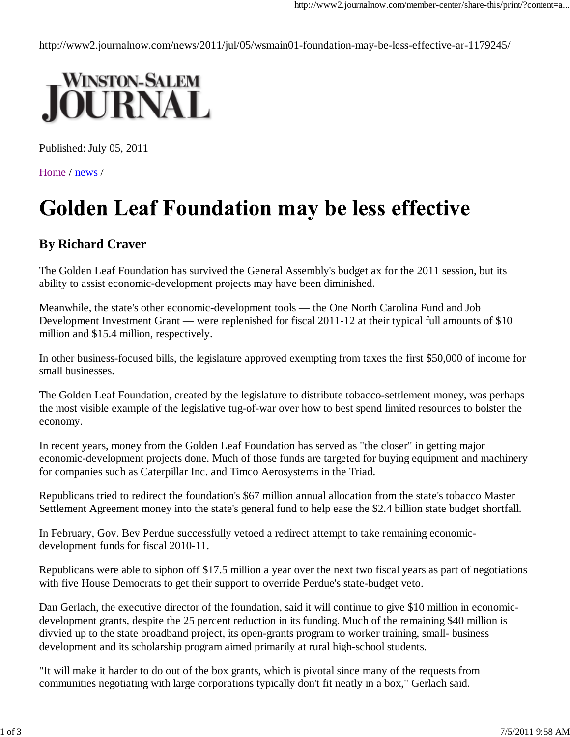http://www2.journalnow.com/news/2011/jul/05/wsmain01-foundation-may-be-less-effective-ar-1179245/



Published: July 05, 2011

Home / news /

## **Golden Leaf Foundation may be less effective**

## **By Richard Craver**

The Golden Leaf Foundation has survived the General Assembly's budget ax for the 2011 session, but its ability to assist economic-development projects may have been diminished.

Meanwhile, the state's other economic-development tools — the One North Carolina Fund and Job Development Investment Grant — were replenished for fiscal 2011-12 at their typical full amounts of \$10 million and \$15.4 million, respectively.

In other business-focused bills, the legislature approved exempting from taxes the first \$50,000 of income for small businesses.

The Golden Leaf Foundation, created by the legislature to distribute tobacco-settlement money, was perhaps the most visible example of the legislative tug-of-war over how to best spend limited resources to bolster the economy.

In recent years, money from the Golden Leaf Foundation has served as "the closer" in getting major economic-development projects done. Much of those funds are targeted for buying equipment and machinery for companies such as Caterpillar Inc. and Timco Aerosystems in the Triad.

Republicans tried to redirect the foundation's \$67 million annual allocation from the state's tobacco Master Settlement Agreement money into the state's general fund to help ease the \$2.4 billion state budget shortfall.

In February, Gov. Bev Perdue successfully vetoed a redirect attempt to take remaining economicdevelopment funds for fiscal 2010-11.

Republicans were able to siphon off \$17.5 million a year over the next two fiscal years as part of negotiations with five House Democrats to get their support to override Perdue's state-budget veto.

Dan Gerlach, the executive director of the foundation, said it will continue to give \$10 million in economicdevelopment grants, despite the 25 percent reduction in its funding. Much of the remaining \$40 million is divvied up to the state broadband project, its open-grants program to worker training, small- business development and its scholarship program aimed primarily at rural high-school students.

"It will make it harder to do out of the box grants, which is pivotal since many of the requests from communities negotiating with large corporations typically don't fit neatly in a box," Gerlach said.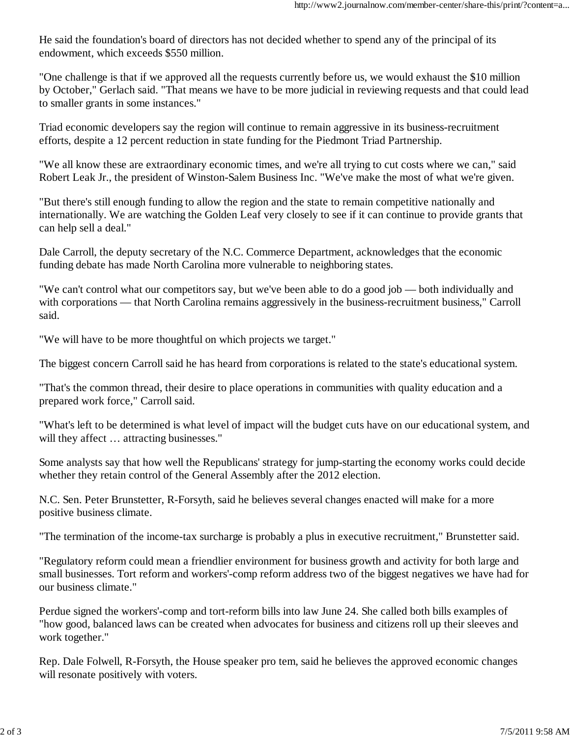He said the foundation's board of directors has not decided whether to spend any of the principal of its endowment, which exceeds \$550 million.

"One challenge is that if we approved all the requests currently before us, we would exhaust the \$10 million by October," Gerlach said. "That means we have to be more judicial in reviewing requests and that could lead to smaller grants in some instances."

Triad economic developers say the region will continue to remain aggressive in its business-recruitment efforts, despite a 12 percent reduction in state funding for the Piedmont Triad Partnership.

"We all know these are extraordinary economic times, and we're all trying to cut costs where we can," said Robert Leak Jr., the president of Winston-Salem Business Inc. "We've make the most of what we're given.

"But there's still enough funding to allow the region and the state to remain competitive nationally and internationally. We are watching the Golden Leaf very closely to see if it can continue to provide grants that can help sell a deal."

Dale Carroll, the deputy secretary of the N.C. Commerce Department, acknowledges that the economic funding debate has made North Carolina more vulnerable to neighboring states.

"We can't control what our competitors say, but we've been able to do a good job — both individually and with corporations — that North Carolina remains aggressively in the business-recruitment business," Carroll said.

"We will have to be more thoughtful on which projects we target."

The biggest concern Carroll said he has heard from corporations is related to the state's educational system.

"That's the common thread, their desire to place operations in communities with quality education and a prepared work force," Carroll said.

"What's left to be determined is what level of impact will the budget cuts have on our educational system, and will they affect ... attracting businesses."

Some analysts say that how well the Republicans' strategy for jump-starting the economy works could decide whether they retain control of the General Assembly after the 2012 election.

N.C. Sen. Peter Brunstetter, R-Forsyth, said he believes several changes enacted will make for a more positive business climate.

"The termination of the income-tax surcharge is probably a plus in executive recruitment," Brunstetter said.

"Regulatory reform could mean a friendlier environment for business growth and activity for both large and small businesses. Tort reform and workers'-comp reform address two of the biggest negatives we have had for our business climate."

Perdue signed the workers'-comp and tort-reform bills into law June 24. She called both bills examples of "how good, balanced laws can be created when advocates for business and citizens roll up their sleeves and work together."

Rep. Dale Folwell, R-Forsyth, the House speaker pro tem, said he believes the approved economic changes will resonate positively with voters.